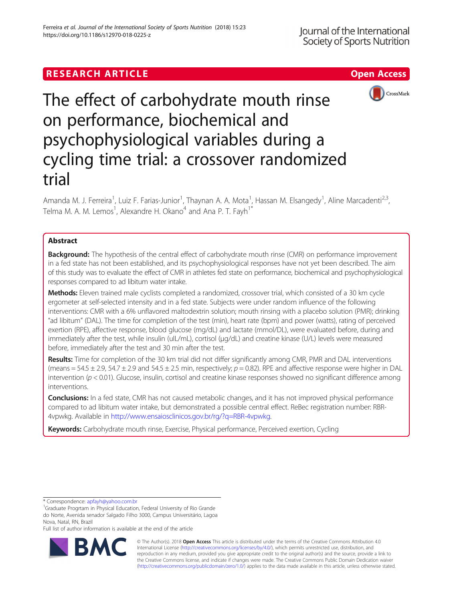# **RESEARCH ARTICLE Example 2018 12:30 The Contract of Contract ACCESS**



The effect of carbohydrate mouth rinse on performance, biochemical and psychophysiological variables during a cycling time trial: a crossover randomized trial

Amanda M. J. Ferreira<sup>1</sup>, Luiz F. Farias-Junior<sup>1</sup>, Thaynan A. A. Mota<sup>1</sup>, Hassan M. Elsangedy<sup>1</sup>, Aline Marcadenti<sup>2,3</sup>, Telma M. A. M. Lemos<sup>1</sup>, Alexandre H. Okano<sup>4</sup> and Ana P. T. Fayh<sup>1\*</sup>

# Abstract

**Background:** The hypothesis of the central effect of carbohydrate mouth rinse (CMR) on performance improvement in a fed state has not been established, and its psychophysiological responses have not yet been described. The aim of this study was to evaluate the effect of CMR in athletes fed state on performance, biochemical and psychophysiological responses compared to ad libitum water intake.

Methods: Eleven trained male cyclists completed a randomized, crossover trial, which consisted of a 30 km cycle ergometer at self-selected intensity and in a fed state. Subjects were under random influence of the following interventions: CMR with a 6% unflavored maltodextrin solution; mouth rinsing with a placebo solution (PMR); drinking "ad libitum" (DAL). The time for completion of the test (min), heart rate (bpm) and power (watts), rating of perceived exertion (RPE), affective response, blood glucose (mg/dL) and lactate (mmol/DL), were evaluated before, during and immediately after the test, while insulin (uIL/mL), cortisol (μg/dL) and creatine kinase (U/L) levels were measured before, immediately after the test and 30 min after the test.

Results: Time for completion of the 30 km trial did not differ significantly among CMR, PMR and DAL interventions (means = 54.5  $\pm$  2.9, 54.7  $\pm$  2.9 and 54.5  $\pm$  2.5 min, respectively;  $p = 0.82$ ). RPE and affective response were higher in DAL intervention ( $p < 0.01$ ). Glucose, insulin, cortisol and creatine kinase responses showed no significant difference among interventions.

Conclusions: In a fed state, CMR has not caused metabolic changes, and it has not improved physical performance compared to ad libitum water intake, but demonstrated a possible central effect. ReBec registration number: RBR-4vpwkg. Available in <http://www.ensaiosclinicos.gov.br/rg/?q=RBR-4vpwkg>.

Keywords: Carbohydrate mouth rinse, Exercise, Physical performance, Perceived exertion, Cycling

\* Correspondence: [apfayh@yahoo.com.br](mailto:apfayh@yahoo.com.br) <sup>1</sup>

<sup>1</sup>Graduate Progrtam in Physical Education, Federal University of Rio Grande do Norte, Avenida senador Salgado Filho 3000, Campus Universitário, Lagoa Nova, Natal, RN, Brazil

Full list of author information is available at the end of the article



© The Author(s). 2018 Open Access This article is distributed under the terms of the Creative Commons Attribution 4.0 International License [\(http://creativecommons.org/licenses/by/4.0/](http://creativecommons.org/licenses/by/4.0/)), which permits unrestricted use, distribution, and reproduction in any medium, provided you give appropriate credit to the original author(s) and the source, provide a link to the Creative Commons license, and indicate if changes were made. The Creative Commons Public Domain Dedication waiver [\(http://creativecommons.org/publicdomain/zero/1.0/](http://creativecommons.org/publicdomain/zero/1.0/)) applies to the data made available in this article, unless otherwise stated.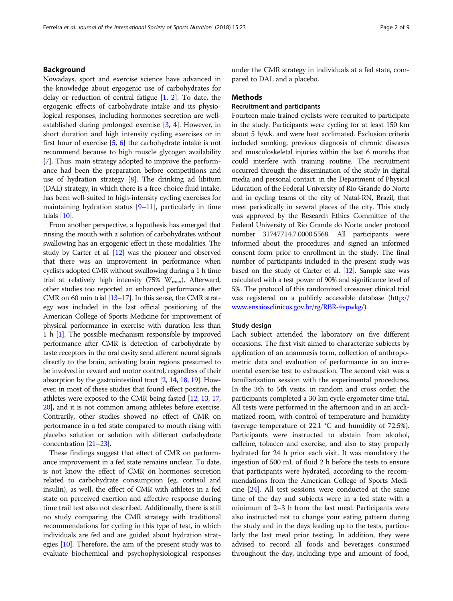# Background

Nowadays, sport and exercise science have advanced in the knowledge about ergogenic use of carbohydrates for delay or reduction of central fatigue  $[1, 2]$  $[1, 2]$  $[1, 2]$ . To date, the ergogenic effects of carbohydrate intake and its physiological responses, including hormones secretion are wellestablished during prolonged exercise [\[3](#page-7-0), [4\]](#page-7-0). However, in short duration and high intensity cycling exercises or in first hour of exercise [\[5,](#page-7-0) [6](#page-7-0)] the carbohydrate intake is not recommend because to high muscle glycogen availability [[7\]](#page-7-0). Thus, main strategy adopted to improve the performance had been the preparation before competitions and use of hydration strategy  $[8]$  $[8]$  $[8]$ . The drinking ad libitum (DAL) strategy, in which there is a free-choice fluid intake, has been well-suited to high-intensity cycling exercises for maintaining hydration status [[9](#page-7-0)–[11\]](#page-7-0), particularly in time trials [\[10\]](#page-7-0).

From another perspective, a hypothesis has emerged that rinsing the mouth with a solution of carbohydrates without swallowing has an ergogenic effect in these modalities. The study by Carter et al. [\[12\]](#page-7-0) was the pioneer and observed that there was an improvement in performance when cyclists adopted CMR without swallowing during a 1 h time trial at relatively high intensity (75%  $W_{\text{max}}$ ). Afterward, other studies too reported an enhanced performance after CMR on 60 min trial [\[13](#page-7-0)–[17\]](#page-7-0). In this sense, the CMR strategy was included in the last official positioning of the American College of Sports Medicine for improvement of physical performance in exercise with duration less than 1h[[1\]](#page-7-0). The possible mechanism responsible by improved performance after CMR is detection of carbohydrate by taste receptors in the oral cavity send afferent neural signals directly to the brain, activating brain regions presumed to be involved in reward and motor control, regardless of their absorption by the gastrointestinal tract [\[2](#page-7-0), [14](#page-7-0), [18](#page-7-0), [19](#page-7-0)]. However, in most of these studies that found effect positive, the athletes were exposed to the CMR being fasted [\[12](#page-7-0), [13,](#page-7-0) [17](#page-7-0), [20](#page-7-0)], and it is not common among athletes before exercise. Contrarily, other studies showed no effect of CMR on performance in a fed state compared to mouth rising with placebo solution or solution with different carbohydrate concentration [[21](#page-8-0)–[23](#page-8-0)].

These findings suggest that effect of CMR on performance improvement in a fed state remains unclear. To date, is not know the effect of CMR on hormones secretion related to carbohydrate consumption (eg. cortisol and insulin), as well, the effect of CMR with athletes in a fed state on perceived exertion and affective response during time trail test also not described. Additionally, there is still no study comparing the CMR strategy with traditional recommendations for cycling in this type of test, in which individuals are fed and are guided about hydration strategies [\[10](#page-7-0)]. Therefore, the aim of the present study was to evaluate biochemical and psychophysiological responses

under the CMR strategy in individuals at a fed state, compared to DAL and a placebo.

## Methods

# Recruitment and participants

Fourteen male trained cyclists were recruited to participate in the study. Participants were cycling for at least 150 km about 5 h/wk. and were heat acclimated. Exclusion criteria included smoking, previous diagnosis of chronic diseases and musculoskeletal injuries within the last 6 months that could interfere with training routine. The recruitment occurred through the dissemination of the study in digital media and personal contact, in the Department of Physical Education of the Federal University of Rio Grande do Norte and in cycling teams of the city of Natal-RN, Brazil, that meet periodically in several places of the city. This study was approved by the Research Ethics Committee of the Federal University of Rio Grande do Norte under protocol number 31747714.7.0000.5568. All participants were informed about the procedures and signed an informed consent form prior to enrollment in the study. The final number of participants included in the present study was based on the study of Carter et al. [\[12\]](#page-7-0). Sample size was calculated with a test power of 90% and significance level of 5%. The protocol of this randomized crossover clinical trial was registered on a publicly accessible database ([http://](http://www.ensaiosclinicos.gov.br/rg/RBR-4vpwkg/) [www.ensaiosclinicos.gov.br/rg/RBR-4vpwkg/\)](http://www.ensaiosclinicos.gov.br/rg/RBR-4vpwkg/).

### Study design

Each subject attended the laboratory on five different occasions. The first visit aimed to characterize subjects by application of an anamnesis form, collection of anthropometric data and evaluation of performance in an incremental exercise test to exhaustion. The second visit was a familiarization session with the experimental procedures. In the 3th to 5th visits, in random and cross order, the participants completed a 30 km cycle ergometer time trial. All tests were performed in the afternoon and in an acclimatized room, with control of temperature and humidity (average temperature of 22.1 °C and humidity of 72.5%). Participants were instructed to abstain from alcohol, caffeine, tobacco and exercise, and also to stay properly hydrated for 24 h prior each visit. It was mandatory the ingestion of 500 mL of fluid 2 h before the tests to ensure that participants were hydrated, according to the recommendations from the American College of Sports Medicine  $[24]$  $[24]$  $[24]$ . All test sessions were conducted at the same time of the day and subjects were in a fed state with a minimum of 2–3 h from the last meal. Participants were also instructed not to change your eating pattern during the study and in the days leading up to the tests, particularly the last meal prior testing. In addition, they were advised to record all foods and beverages consumed throughout the day, including type and amount of food,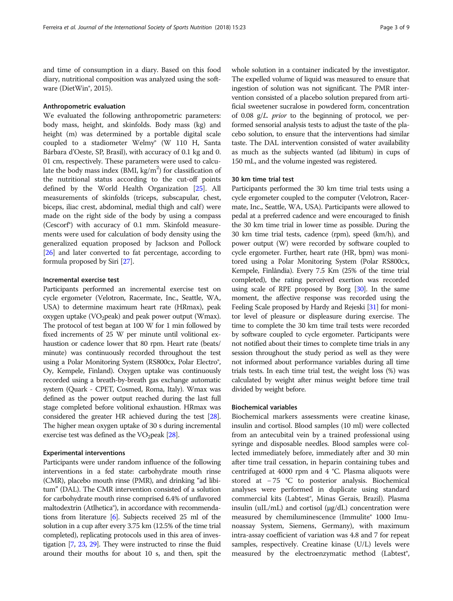and time of consumption in a diary. Based on this food diary, nutritional composition was analyzed using the software (DietWin<sup>®</sup>, 2015).

# Anthropometric evaluation

We evaluated the following anthropometric parameters: body mass, height, and skinfolds. Body mass (kg) and height (m) was determined by a portable digital scale coupled to a stadiometer Welmy® (W 110 H, Santa Bárbara d'Oeste, SP, Brasil), with accuracy of 0.1 kg and 0. 01 cm, respectively. These parameters were used to calculate the body mass index (BMI, kg/m<sup>2</sup>) for classification of the nutritional status according to the cut-off points defined by the World Health Organization [\[25\]](#page-8-0). All measurements of skinfolds (triceps, subscapular, chest, biceps, iliac crest, abdominal, medial thigh and calf) were made on the right side of the body by using a compass (Cescorf®) with accuracy of 0.1 mm. Skinfold measurements were used for calculation of body density using the generalized equation proposed by Jackson and Pollock [[26](#page-8-0)] and later converted to fat percentage, according to formula proposed by Siri [[27](#page-8-0)].

### Incremental exercise test

Participants performed an incremental exercise test on cycle ergometer (Velotron, Racermate, Inc., Seattle, WA, USA) to determine maximum heart rate (HRmax), peak oxygen uptake (VO<sub>2</sub>peak) and peak power output (Wmax). The protocol of test began at 100 W for 1 min followed by fixed increments of 25 W per minute until volitional exhaustion or cadence lower that 80 rpm. Heart rate (beats/ minute) was continuously recorded throughout the test using a Polar Monitoring System (RS800cx, Polar Electro®, Oy, Kempele, Finland). Oxygen uptake was continuously recorded using a breath-by-breath gas exchange automatic system (Quark - CPET, Cosmed, Roma, Italy). Wmax was defined as the power output reached during the last full stage completed before volitional exhaustion. HRmax was considered the greater HR achieved during the test [\[28](#page-8-0)]. The higher mean oxygen uptake of 30 s during incremental exercise test was defined as the  $VO<sub>2</sub>peak$  [[28\]](#page-8-0).

### Experimental interventions

Participants were under random influence of the following interventions in a fed state: carbohydrate mouth rinse (CMR), placebo mouth rinse (PMR), and drinking "ad libitum" (DAL). The CMR intervention consisted of a solution for carbohydrate mouth rinse comprised 6.4% of unflavored maltodextrin (Atlhetica®), in accordance with recommendations from literature [[6](#page-7-0)]. Subjects received 25 ml of the solution in a cup after every 3.75 km (12.5% of the time trial completed), replicating protocols used in this area of investigation [[7](#page-7-0), [23](#page-8-0), [29](#page-8-0)]. They were instructed to rinse the fluid around their mouths for about 10 s, and then, spit the

whole solution in a container indicated by the investigator. The expelled volume of liquid was measured to ensure that ingestion of solution was not significant. The PMR intervention consisted of a placebo solution prepared from artificial sweetener sucralose in powdered form, concentration of 0.08  $g/L$ . *prior* to the beginning of protocol, we performed sensorial analysis tests to adjust the taste of the placebo solution, to ensure that the interventions had similar taste. The DAL intervention consisted of water availability as much as the subjects wanted (ad libitum) in cups of 150 mL, and the volume ingested was registered.

## 30 km time trial test

Participants performed the 30 km time trial tests using a cycle ergometer coupled to the computer (Velotron, Racermate, Inc., Seattle, WA, USA). Participants were allowed to pedal at a preferred cadence and were encouraged to finish the 30 km time trial in lower time as possible. During the 30 km time trial tests, cadence (rpm), speed (km/h), and power output (W) were recorded by software coupled to cycle ergometer. Further, heart rate (HR, bpm) was monitored using a Polar Monitoring System (Polar RS800cx, Kempele, Finlândia). Every 7.5 Km (25% of the time trial completed), the rating perceived exertion was recorded using scale of RPE proposed by Borg [\[30](#page-8-0)]. In the same moment, the affective response was recorded using the Feeling Scale proposed by Hardy and Rejeski [[31](#page-8-0)] for monitor level of pleasure or displeasure during exercise. The time to complete the 30 km time trail tests were recorded by software coupled to cycle ergometer. Participants were not notified about their times to complete time trials in any session throughout the study period as well as they were not informed about performance variables during all time trials tests. In each time trial test, the weight loss (%) was calculated by weight after minus weight before time trail divided by weight before.

## Biochemical variables

Biochemical markers assessments were creatine kinase, insulin and cortisol. Blood samples (10 ml) were collected from an antecubital vein by a trained professional using syringe and disposable needles. Blood samples were collected immediately before, immediately after and 30 min after time trail cessation, in heparin containing tubes and centrifuged at 4000 rpm and 4 °C. Plasma aliquots were stored at − 75 °C to posterior analysis. Biochemical analyses were performed in duplicate using standard commercial kits (Labtest®, Minas Gerais, Brazil). Plasma insulin (uIL/mL) and cortisol ( $\mu$ g/dL) concentration were measured by chemiluminescence (Immulite® 1000 Imunoassay System, Siemens, Germany), with maximum intra-assay coefficient of variation was 4.8 and 7 for repeat samples, respectively. Creatine kinase (U/L) levels were measured by the electroenzymatic method (Labtest<sup>®</sup>,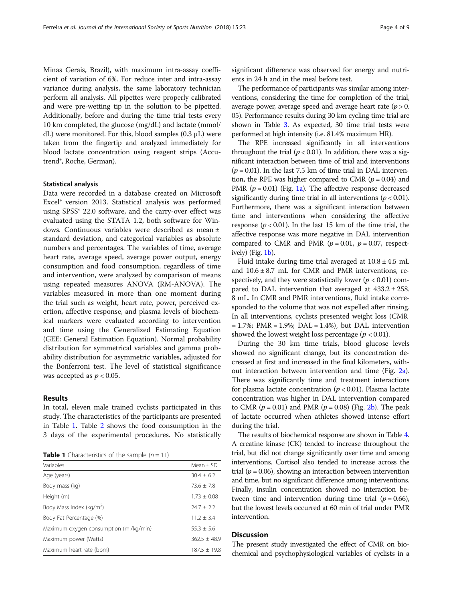Minas Gerais, Brazil), with maximum intra-assay coefficient of variation of 6%. For reduce inter and intra-assay variance during analysis, the same laboratory technician perform all analysis. All pipettes were properly calibrated and were pre-wetting tip in the solution to be pipetted. Additionally, before and during the time trial tests every 10 km completed, the glucose (mg/dL) and lactate (mmol/ dL) were monitored. For this, blood samples (0.3 μL) were taken from the fingertip and analyzed immediately for

blood lactate concentration using reagent strips (Accu-

### Statistical analysis

trend®, Roche, German).

Data were recorded in a database created on Microsoft Excel® version 2013. Statistical analysis was performed using SPSS<sup>®</sup> 22.0 software, and the carry-over effect was evaluated using the STATA 1.2, both software for Windows. Continuous variables were described as mean ± standard deviation, and categorical variables as absolute numbers and percentages. The variables of time, average heart rate, average speed, average power output, energy consumption and food consumption, regardless of time and intervention, were analyzed by comparison of means using repeated measures ANOVA (RM-ANOVA). The variables measured in more than one moment during the trial such as weight, heart rate, power, perceived exertion, affective response, and plasma levels of biochemical markers were evaluated according to intervention and time using the Generalized Estimating Equation (GEE: General Estimation Equation). Normal probability distribution for symmetrical variables and gamma probability distribution for asymmetric variables, adjusted for the Bonferroni test. The level of statistical significance was accepted as  $p < 0.05$ .

### Results

In total, eleven male trained cyclists participated in this study. The characteristics of the participants are presented in Table 1. Table [2](#page-4-0) shows the food consumption in the 3 days of the experimental procedures. No statistically

**Table 1** Characteristics of the sample  $(n = 11)$ 

| Variables                              | Mean $\pm$ SD    |
|----------------------------------------|------------------|
| Age (years)                            | $30.4 \pm 6.2$   |
| Body mass (kg)                         | $73.6 + 7.8$     |
| Height (m)                             | $1.73 \pm 0.08$  |
| Body Mass Index (kg/m <sup>2</sup> )   | $74.7 + 7.2$     |
| Body Fat Percentage (%)                | $11.2 + 3.4$     |
| Maximum oxygen consumption (ml/kg/min) | $55.3 \pm 5.6$   |
| Maximum power (Watts)                  | $362.5 \pm 48.9$ |
| Maximum heart rate (bpm)               | $187.5 \pm 19.8$ |

significant difference was observed for energy and nutrients in 24 h and in the meal before test.

The performance of participants was similar among interventions, considering the time for completion of the trial, average power, average speed and average heart rate  $(p > 0$ . 05). Performance results during 30 km cycling time trial are shown in Table [3.](#page-4-0) As expected, 30 time trial tests were performed at high intensity (i.e. 81.4% maximum HR).

The RPE increased significantly in all interventions throughout the trial  $(p < 0.01)$ . In addition, there was a significant interaction between time of trial and interventions  $(p = 0.01)$ . In the last 7.5 km of time trial in DAL intervention, the RPE was higher compared to CMR ( $p = 0.04$ ) and PMR ( $p = 0.01$ ) (Fig. [1a](#page-5-0)). The affective response decreased significantly during time trial in all interventions ( $p < 0.01$ ). Furthermore, there was a significant interaction between time and interventions when considering the affective response ( $p < 0.01$ ). In the last 15 km of the time trial, the affective response was more negative in DAL intervention compared to CMR and PMR ( $p = 0.01$ ,  $p = 0.07$ , respectively) (Fig. [1b\)](#page-5-0).

Fluid intake during time trial averaged at  $10.8 \pm 4.5$  mL and  $10.6 \pm 8.7$  mL for CMR and PMR interventions, respectively, and they were statistically lower ( $p < 0.01$ ) compared to DAL intervention that averaged at  $433.2 \pm 258$ . 8 mL. In CMR and PMR interventions, fluid intake corresponded to the volume that was not expelled after rinsing. In all interventions, cyclists presented weight loss (CMR  $= 1.7\%$ ; PMR  $= 1.9\%$ ; DAL  $= 1.4\%$ ), but DAL intervention showed the lowest weight loss percentage ( $p < 0.01$ ).

During the 30 km time trials, blood glucose levels showed no significant change, but its concentration decreased at first and increased in the final kilometers, without interaction between intervention and time (Fig. [2a](#page-5-0)). There was significantly time and treatment interactions for plasma lactate concentration ( $p < 0.01$ ). Plasma lactate concentration was higher in DAL intervention compared to CMR ( $p = 0.01$ ) and PMR ( $p = 0.08$ ) (Fig. [2b\)](#page-5-0). The peak of lactate occurred when athletes showed intense effort during the trial.

The results of biochemical response are shown in Table [4](#page-6-0). A creatine kinase (CK) tended to increase throughout the trial, but did not change significantly over time and among interventions. Cortisol also tended to increase across the trial ( $p = 0.06$ ), showing an interaction between intervention and time, but no significant difference among interventions. Finally, insulin concentration showed no interaction between time and intervention during time trial ( $p = 0.66$ ), but the lowest levels occurred at 60 min of trial under PMR intervention.

# **Discussion**

The present study investigated the effect of CMR on biochemical and psychophysiological variables of cyclists in a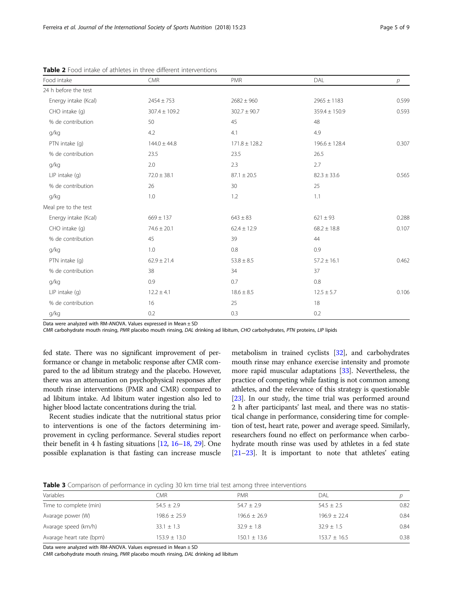| Food intake          | CMR               | <b>PMR</b>        | DAL               | $\overline{p}$ |
|----------------------|-------------------|-------------------|-------------------|----------------|
| 24 h before the test |                   |                   |                   |                |
| Energy intake (Kcal) | $2454 \pm 753$    | $2682 \pm 960$    | $2965 \pm 1183$   | 0.599          |
| CHO intake (q)       | $307.4 \pm 109.2$ | $302.7 \pm 90.7$  | $359.4 \pm 150.9$ | 0.593          |
| % de contribution    | 50                | 45                | 48                |                |
| g/kg                 | 4.2               | 4.1               | 4.9               |                |
| PTN intake (g)       | $144.0 \pm 44.8$  | $171.8 \pm 128.2$ | $196.6 \pm 128.4$ | 0.307          |
| % de contribution    | 23.5              | 23.5              | 26.5              |                |
| g/kg                 | 2.0               | 2.3               | 2.7               |                |
| LIP intake (g)       | $72.0 \pm 38.1$   | $87.1 \pm 20.5$   | $82.3 \pm 33.6$   | 0.565          |
| % de contribution    | 26                | 30                | 25                |                |
| g/kg                 | 1.0               | 1.2               | 1.1               |                |
| Meal pre to the test |                   |                   |                   |                |
| Energy intake (Kcal) | $669 \pm 137$     | $643 \pm 83$      | $621 \pm 93$      | 0.288          |
| CHO intake (q)       | $74.6 \pm 20.1$   | $62.4 \pm 12.9$   | $68.2 \pm 18.8$   | 0.107          |
| % de contribution    | 45                | 39                | 44                |                |
| g/kg                 | 1.0               | 0.8               | 0.9               |                |
| PTN intake (q)       | $62.9 \pm 21.4$   | $53.8 \pm 8.5$    | $57.2 \pm 16.1$   | 0.462          |
| % de contribution    | 38                | 34                | 37                |                |
| g/kg                 | 0.9               | 0.7               | $0.8\,$           |                |
| $LIP$ intake $(q)$   | $12.2 \pm 4.1$    | $18.6 \pm 8.5$    | $12.5 \pm 5.7$    | 0.106          |
| % de contribution    | 16                | 25                | 18                |                |
| g/kg                 | 0.2               | 0.3               | 0.2               |                |

<span id="page-4-0"></span>Table 2 Food intake of athletes in three different interventions

Data were analyzed with RM-ANOVA. Values expressed in Mean ± SD

CMR carbohydrate mouth rinsing, PMR placebo mouth rinsing, DAL drinking ad libitum, CHO carbohydrates, PTN proteins, LIP lipids

fed state. There was no significant improvement of performance or change in metabolic response after CMR compared to the ad libitum strategy and the placebo. However, there was an attenuation on psychophysical responses after mouth rinse interventions (PMR and CMR) compared to ad libitum intake. Ad libitum water ingestion also led to higher blood lactate concentrations during the trial.

Recent studies indicate that the nutritional status prior to interventions is one of the factors determining improvement in cycling performance. Several studies report their benefit in 4 h fasting situations [\[12,](#page-7-0) [16](#page-7-0)–[18](#page-7-0), [29\]](#page-8-0). One possible explanation is that fasting can increase muscle

metabolism in trained cyclists [[32](#page-8-0)], and carbohydrates mouth rinse may enhance exercise intensity and promote more rapid muscular adaptations [\[33\]](#page-8-0). Nevertheless, the practice of competing while fasting is not common among athletes, and the relevance of this strategy is questionable [[23](#page-8-0)]. In our study, the time trial was performed around 2 h after participants' last meal, and there was no statistical change in performance, considering time for completion of test, heart rate, power and average speed. Similarly, researchers found no effect on performance when carbohydrate mouth rinse was used by athletes in a fed state [[21](#page-8-0)–[23\]](#page-8-0). It is important to note that athletes' eating

|  | <b>Table 3</b> Comparison of performance in cycling 30 km time trial test among three interventions |  |  |  |  |  |  |  |  |
|--|-----------------------------------------------------------------------------------------------------|--|--|--|--|--|--|--|--|
|--|-----------------------------------------------------------------------------------------------------|--|--|--|--|--|--|--|--|

| DAL              |      |
|------------------|------|
| $54.5 \pm 2.5$   | 0.82 |
| $196.9 + 22.4$   | 0.84 |
| $32.9 \pm 1.5$   | 0.84 |
| $153.7 \pm 16.5$ | 0.38 |
|                  |      |

Data were analyzed with RM-ANOVA. Values expressed in Mean ± SD

CMR carbohydrate mouth rinsing, PMR placebo mouth rinsing, DAL drinking ad libitum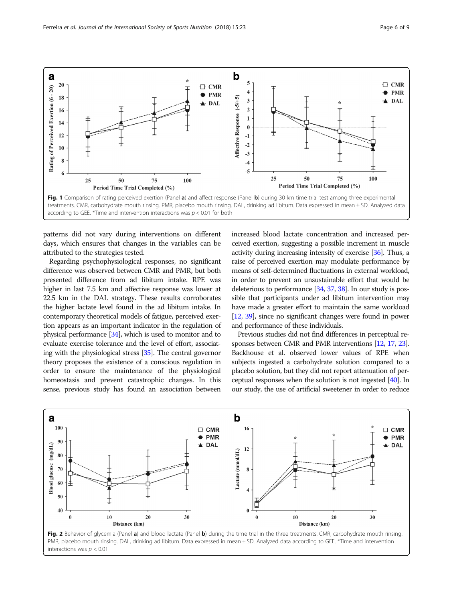<span id="page-5-0"></span>

patterns did not vary during interventions on different days, which ensures that changes in the variables can be attributed to the strategies tested.

Regarding psychophysiological responses, no significant difference was observed between CMR and PMR, but both presented difference from ad libitum intake. RPE was higher in last 7.5 km and affective response was lower at 22.5 km in the DAL strategy. These results corroborates the higher lactate level found in the ad libitum intake. In contemporary theoretical models of fatigue, perceived exertion appears as an important indicator in the regulation of physical performance [\[34\]](#page-8-0), which is used to monitor and to evaluate exercise tolerance and the level of effort, associating with the physiological stress [\[35](#page-8-0)]. The central governor theory proposes the existence of a conscious regulation in order to ensure the maintenance of the physiological homeostasis and prevent catastrophic changes. In this sense, previous study has found an association between

increased blood lactate concentration and increased perceived exertion, suggesting a possible increment in muscle activity during increasing intensity of exercise [\[36\]](#page-8-0). Thus, a raise of perceived exertion may modulate performance by means of self-determined fluctuations in external workload, in order to prevent an unsustainable effort that would be deleterious to performance [\[34](#page-8-0), [37,](#page-8-0) [38\]](#page-8-0). In our study is possible that participants under ad libitum intervention may have made a greater effort to maintain the same workload [[12](#page-7-0), [39\]](#page-8-0), since no significant changes were found in power and performance of these individuals.

Previous studies did not find differences in perceptual responses between CMR and PMR interventions [\[12,](#page-7-0) [17](#page-7-0), [23](#page-8-0)]. Backhouse et al. observed lower values of RPE when subjects ingested a carbohydrate solution compared to a placebo solution, but they did not report attenuation of perceptual responses when the solution is not ingested [[40](#page-8-0)]. In our study, the use of artificial sweetener in order to reduce



Fig. 2 Behavior of glycemia (Panel a) and blood lactate (Panel b) during the time trial in the three treatments. CMR, carbohydrate mouth rinsing. PMR, placebo mouth rinsing. DAL, drinking ad libitum. Data expressed in mean ± SD. Analyzed data according to GEE. \*Time and intervention interactions was  $p < 0.01$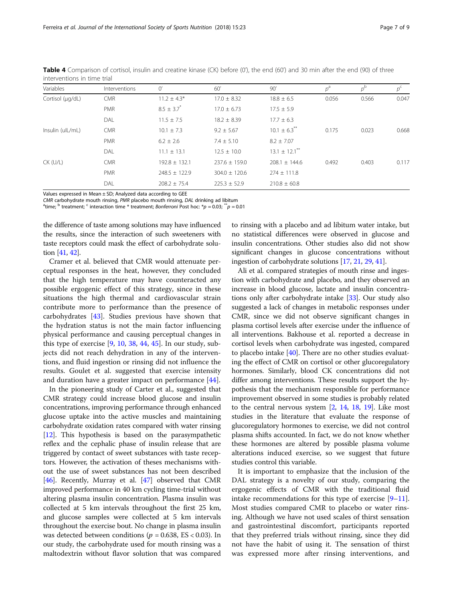| Variables        | Interventions | O'                         | 60'               | 90'                           | $p^a$ | $p^{\rm b}$ | $p^c$ |
|------------------|---------------|----------------------------|-------------------|-------------------------------|-------|-------------|-------|
| Cortisol (µg/dL) | <b>CMR</b>    | $11.2 \pm 4.3*$            | $17.0 \pm 8.32$   | $18.8 \pm 6.5$                | 0.056 | 0.566       | 0.047 |
|                  | <b>PMR</b>    | $8.5 \pm 3.7$ <sup>*</sup> | $17.0 \pm 6.73$   | $17.5 \pm 5.9$                |       |             |       |
|                  | DAL.          | $11.5 \pm 7.5$             | $18.2 \pm 8.39$   | $17.7 \pm 6.3$                |       |             |       |
| Insulin (ulL/mL) | <b>CMR</b>    | $10.1 \pm 7.3$             | $9.2 \pm 5.67$    | $10.1 \pm 6.3$ <sup>**</sup>  | 0.175 | 0.023       | 0.668 |
|                  | <b>PMR</b>    | $6.2 \pm 2.6$              | $7.4 \pm 5.10$    | $8.2 \pm 7.07$                |       |             |       |
|                  | DAL           | $11.1 \pm 13.1$            | $12.5 \pm 10.0$   | $13.1 \pm 12.1$ <sup>**</sup> |       |             |       |
| $CK$ (U/L)       | <b>CMR</b>    | $192.8 \pm 132.1$          | $237.6 \pm 159.0$ | $208.1 \pm 144.6$             | 0.492 | 0.403       | 0.117 |
|                  | <b>PMR</b>    | $748.5 + 172.9$            | $304.0 + 120.6$   | $274 \pm 111.8$               |       |             |       |
|                  | DAL           | $208.2 \pm 75.4$           | $225.3 \pm 52.9$  | $210.8 \pm 60.8$              |       |             |       |

<span id="page-6-0"></span>Table 4 Comparison of cortisol, insulin and creatine kinase (CK) before (0'), the end (60') and 30 min after the end (90) of three interventions in time trial

Values expressed in Mean ± SD; Analyzed data according to GEE

CMR carbohydrate mouth rinsing, PMR placebo mouth rinsing, DAL drinking ad libitum

<sup>a</sup>time; <sup>b</sup> treatment; <sup>c</sup> interaction time \* treatment; *Bonferroni* Post hoc: \*p = 0.03; \*\*p = 0.01

the difference of taste among solutions may have influenced the results, since the interaction of such sweeteners with taste receptors could mask the effect of carbohydrate solution [[41](#page-8-0), [42](#page-8-0)].

Cramer et al. believed that CMR would attenuate perceptual responses in the heat, however, they concluded that the high temperature may have counteracted any possible ergogenic effect of this strategy, since in these situations the high thermal and cardiovascular strain contribute more to performance than the presence of carbohydrates [\[43](#page-8-0)]. Studies previous have shown that the hydration status is not the main factor influencing physical performance and causing perceptual changes in this type of exercise  $[9, 10, 38, 44, 45]$  $[9, 10, 38, 44, 45]$  $[9, 10, 38, 44, 45]$  $[9, 10, 38, 44, 45]$  $[9, 10, 38, 44, 45]$  $[9, 10, 38, 44, 45]$  $[9, 10, 38, 44, 45]$  $[9, 10, 38, 44, 45]$  $[9, 10, 38, 44, 45]$ . In our study, subjects did not reach dehydration in any of the interventions, and fluid ingestion or rinsing did not influence the results. Goulet et al. suggested that exercise intensity and duration have a greater impact on performance [[44\]](#page-8-0).

In the pioneering study of Carter et al., suggested that CMR strategy could increase blood glucose and insulin concentrations, improving performance through enhanced glucose uptake into the active muscles and maintaining carbohydrate oxidation rates compared with water rinsing [[12](#page-7-0)]. This hypothesis is based on the parasympathetic reflex and the cephalic phase of insulin release that are triggered by contact of sweet substances with taste receptors. However, the activation of theses mechanisms without the use of sweet substances has not been described [[46](#page-8-0)]. Recently, Murray et al. [\[47\]](#page-8-0) observed that CMR improved performance in 40 km cycling time-trial without altering plasma insulin concentration. Plasma insulin was collected at 5 km intervals throughout the first 25 km, and glucose samples were collected at 5 km intervals throughout the exercise bout. No change in plasma insulin was detected between conditions ( $p = 0.638$ , ES < 0.03). In our study, the carbohydrate used for mouth rinsing was a maltodextrin without flavor solution that was compared

to rinsing with a placebo and ad libitum water intake, but no statistical differences were observed in glucose and insulin concentrations. Other studies also did not show significant changes in glucose concentrations without ingestion of carbohydrate solutions [[17](#page-7-0), [21,](#page-8-0) [29](#page-8-0), [41](#page-8-0)].

Ali et al. compared strategies of mouth rinse and ingestion with carbohydrate and placebo, and they observed an increase in blood glucose, lactate and insulin concentrations only after carbohydrate intake [[33](#page-8-0)]. Our study also suggested a lack of changes in metabolic responses under CMR, since we did not observe significant changes in plasma cortisol levels after exercise under the influence of all interventions. Bakhouse et al. reported a decrease in cortisol levels when carbohydrate was ingested, compared to placebo intake  $[40]$  $[40]$  $[40]$ . There are no other studies evaluating the effect of CMR on cortisol or other glucoregulatory hormones. Similarly, blood CK concentrations did not differ among interventions. These results support the hypothesis that the mechanism responsible for performance improvement observed in some studies is probably related to the central nervous system [[2,](#page-7-0) [14](#page-7-0), [18](#page-7-0), [19](#page-7-0)]. Like most studies in the literature that evaluate the response of glucoregulatory hormones to exercise, we did not control plasma shifts accounted. In fact, we do not know whether these hormones are altered by possible plasma volume alterations induced exercise, so we suggest that future studies control this variable.

It is important to emphasize that the inclusion of the DAL strategy is a novelty of our study, comparing the ergogenic effects of CMR with the traditional fluid intake recommendations for this type of exercise  $[9-11]$  $[9-11]$  $[9-11]$  $[9-11]$  $[9-11]$ . Most studies compared CMR to placebo or water rinsing. Although we have not used scales of thirst sensation and gastrointestinal discomfort, participants reported that they preferred trials without rinsing, since they did not have the habit of using it. The sensation of thirst was expressed more after rinsing interventions, and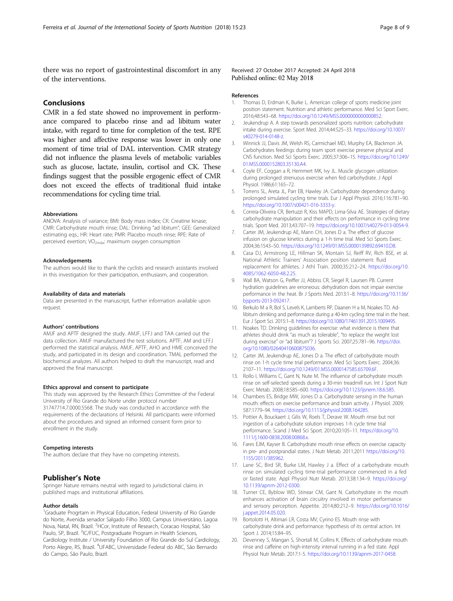<span id="page-7-0"></span>there was no report of gastrointestinal discomfort in any of the interventions.

# Conclusions

CMR in a fed state showed no improvement in performance compared to placebo rinse and ad libitum water intake, with regard to time for completion of the test. RPE was higher and affective response was lower in only one moment of time trial of DAL intervention. CMR strategy did not influence the plasma levels of metabolic variables such as glucose, lactate, insulin, cortisol and CK. These findings suggest that the possible ergogenic effect of CMR does not exceed the effects of traditional fluid intake recommendations for cycling time trial.

### Abbreviations

ANOVA: Analysis of variance; BMI: Body mass index; CK: Creatine kinase; CMR: Carbohydrate mouth rinse; DAL: Drinking "ad libitum"; GEE: Generalized estimating eqs.; HR: Heart rate; PMR: Placebo mouth rinse; RPE: Rate of perceived exertion;  $VO<sub>2más</sub>$ : maximum oxygen consumption

### Acknowledgements

The authors would like to thank the cyclists and research assistants involved in this investigation for their participation, enthusiasm, and cooperation.

#### Availability of data and materials

Data are presented in the manuscript, further information available upon request.

### Authors' contributions

AMJF and APTF designed the study. AMJF, LFFJ and TAA carried out the data collection. AMJF manufactured the test solutions. APTF, AM and LFFJ performed the statistical analysis. AMJF, APTF, AHO and HME conceived the study, and participated in its design and coordination. TMAL performed the biochemical analyzes. All authors helped to draft the manuscript, read and approved the final manuscript.

### Ethics approval and consent to participate

This study was approved by the Research Ethics Committee of the Federal University of Rio Grande do Norte under protocol number 31747714.7.0000.5568. The study was conducted in accordance with the requirements of the declarations of Helsinki. All participants were informed about the procedures and signed an informed consent form prior to enrollment in the study.

#### Competing interests

The authors declare that they have no competing interests.

### Publisher's Note

Springer Nature remains neutral with regard to jurisdictional claims in published maps and institutional affiliations.

#### Author details

<sup>1</sup>Graduate Progrtam in Physical Education, Federal University of Rio Grande do Norte, Avenida senador Salgado Filho 3000, Campus Universitário, Lagoa Nova, Natal, RN, Brazil. <sup>2</sup>HCor, Institute of Research, Coracao Hospital, São Paulo, SP, Brazil. <sup>3</sup>IC/FUC, Postgraduate Program in Health Sciences, Cardiology Institute / University Foundation of Rio Grande do Sul Cardiology, Porto Alegre, RS, Brazil. <sup>4</sup>UFABC, Universidade Federal do ABC, São Bernardo do Campo, São Paulo, Brazil.

### Received: 27 October 2017 Accepted: 24 April 2018 Published online: 02 May 2018

#### References

- 1. Thomas D, Erdman K, Burke L. American college of sports medicine joint position statement. Nutrition and athletic performance. Med Sci Sport Exerc. 2016;48:543–68. [https://doi.org/10.1249/MSS.0000000000000852.](https://doi.org/10.1249/MSS.0000000000000852)
- 2. Jeukendrup A. A step towards personalized sports nutrition: carbohydrate intake during exercise. Sport Med. 2014;44:S25–33. [https://doi.org/10.1007/](https://doi.org/10.1007/s40279-014-0148-z) [s40279-014-0148-z](https://doi.org/10.1007/s40279-014-0148-z).
- 3. Winnick JJ, Davis JM, Welsh RS, Carmichael MD, Murphy EA, Blackmon JA. Carbohydrates feedings during team sport exercise preserve physical and CNS function. Med Sci Sports Exerc. 2005;37:306–15. [https://doi.org/10.1249/](https://doi.org/10.1249/01.MSS.0000152803.35130.A4) [01.MSS.0000152803.35130.A4](https://doi.org/10.1249/01.MSS.0000152803.35130.A4).
- 4. Coyle EF, Coggan a R, Hemmert MK, Ivy JL. Muscle glycogen utilization during prolonged strenuous exercise when fed carbohydrate. J Appl Physiol. 1986;61:165–72.
- 5. Torrens SL, Areta JL, Parr EB, Hawley JA. Carbohydrate dependence during prolonged simulated cycling time trials. Eur J Appl Physiol. 2016;116:781–90. [https://doi.org/10.1007/s00421-016-3333-y.](https://doi.org/10.1007/s00421-016-3333-y)
- 6. Correia-Oliveira CR, Bertuzzi R, Kiss MAPD, Lima-Silva AE. Strategies of dietary carbohydrate manipulation and their effects on performance in cycling time trials. Sport Med. 2013;43:707–19. [https://doi.org/10.1007/s40279-013-0054-9.](https://doi.org/10.1007/s40279-013-0054-9)
- 7. Carter JM, Jeukendrup AE, Mann CH, Jones D a. The effect of glucose infusion on glucose kinetics during a 1-h time trial. Med Sci Sports Exerc. 2004;36:1543–50. [https://doi.org/10.1249/01.MSS.0000139892.69410.D8.](https://doi.org/10.1249/01.MSS.0000139892.69410.D8)
- 8. Casa DJ, Armstrong LE, Hillman SK, Montain SJ, Reiff RV, Rich BSE, et al. National Athletic Trainers' Association position statement: fluid replacement for athletes. J Athl Train. 2000;35:212–24. [https://doi.org/10.](https://doi.org/10.4085/1062-6050-48.2.25) 4085/1062-6050-48.2.25
- 9. Wall BA, Watson G, Peiffer JJ, Abbiss CR, Siegel R, Laursen PB. Current hydration guidelines are erroneous: dehydration does not impair exercise performance in the heat. Br J Sports Med. 2013:1–8. [https://doi.org/10.1136/](https://doi.org/10.1136/bjsports-2013-092417) [bjsports-2013-092417](https://doi.org/10.1136/bjsports-2013-092417).
- 10. Berkulo M a R, Bol S, Levels K, Lamberts RP, Daanen H a M, Noakes TD. Adlibitum drinking and performance during a 40-km cycling time trial in the heat. Eur J Sport Sci. 2015:1–8. [https://doi.org/10.1080/17461391.2015.1009495.](https://doi.org/10.1080/17461391.2015.1009495)
- 11. Noakes TD. Drinking guidelines for exercise: what evidence is there that athletes should drink "as much as tolerable", "to replace the weight lost during exercise" or "ad libitum"? J Sports Sci. 2007;25:781–96. [https://doi.](https://doi.org/10.1080/02640410600875036) [org/10.1080/02640410600875036](https://doi.org/10.1080/02640410600875036).
- 12. Carter JM, Jeukendrup AE, Jones D a. The effect of carbohydrate mouth rinse on 1-h cycle time trial performance. Med Sci Sports Exerc. 2004;36: 2107–11. [https://doi.org/10.1249/01.MSS.0000147585.65709.6F.](https://doi.org/10.1249/01.MSS.0000147585.65709.6F)
- 13. Rollo I, Williams C, Gant N, Nute M. The influence of carbohydrate mouth rinse on self-selected speeds during a 30-min treadmill run. Int J Sport Nutr Exerc Metab. 2008;18:585–600. <https://doi.org/10.1123/ijsnem.18.6.585>.
- 14. Chambers ES, Bridge MW, Jones D a. Carbohydrate sensing in the human mouth: effects on exercise performance and brain activity. J Physiol. 2009; 587:1779–94. [https://doi.org/10.1113/jphysiol.2008.164285.](https://doi.org/10.1113/jphysiol.2008.164285)
- 15. Pottier A, Bouckaert J, Gilis W, Roels T, Derave W. Mouth rinse but not ingestion of a carbohydrate solution improves 1-h cycle time trial performance. Scand J Med Sci Sport. 2010;20:105–11. [https://doi.org/10.](https://doi.org/10.1111/j.1600-0838.2008.00868.x) [1111/j.1600-0838.2008.00868.x](https://doi.org/10.1111/j.1600-0838.2008.00868.x).
- 16. Fares EJM, Kayser B. Carbohydrate mouth rinse effects on exercise capacity in pre- and postprandial states. J Nutr Metab. 2011;2011 [https://doi.org/10.](https://doi.org/10.1155/2011/385962) [1155/2011/385962](https://doi.org/10.1155/2011/385962).
- 17. Lane SC, Bird SR, Burke LM, Hawley J a. Effect of a carbohydrate mouth rinse on simulated cycling time-trial performance commenced in a fed or fasted state. Appl Physiol Nutr Metab. 2013;38:134–9. [https://doi.org/](https://doi.org/10.1139/apnm-2012-0300) [10.1139/apnm-2012-0300.](https://doi.org/10.1139/apnm-2012-0300)
- 18. Turner CE, Byblow WD, Stinear CM, Gant N. Carbohydrate in the mouth enhances activation of brain circuitry involved in motor performance and sensory perception. Appetite. 2014;80:212–9. [https://doi.org/10.1016/](https://doi.org/10.1016/j.appet.2014.05.020) [j.appet.2014.05.020.](https://doi.org/10.1016/j.appet.2014.05.020)
- 19. Bortolotti H, Altimari LR, Costa MV, Cyrino ES. Mouth rinse with carbohydrate drink and performance: hypothesis of its central action. Int Sport J. 2014;15:84–95.
- 20. Devenney S, Mangan S, Shortall M, Collins K. Effects of carbohydrate mouth rinse and caffeine on high-intensity interval running in a fed state. Appl Physiol Nutr Metab. 2017:1-5. <https://doi.org/10.1139/apnm-2017-0458>.